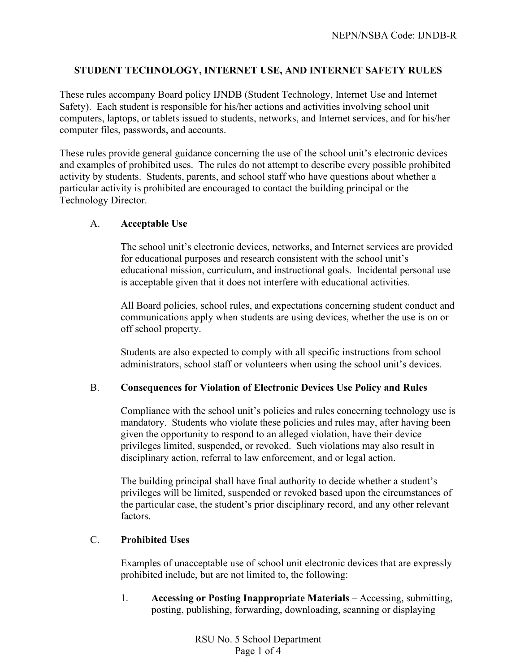# **STUDENT TECHNOLOGY, INTERNET USE, AND INTERNET SAFETY RULES**

These rules accompany Board policy IJNDB (Student Technology, Internet Use and Internet Safety). Each student is responsible for his/her actions and activities involving school unit computers, laptops, or tablets issued to students, networks, and Internet services, and for his/her computer files, passwords, and accounts.

These rules provide general guidance concerning the use of the school unit's electronic devices and examples of prohibited uses. The rules do not attempt to describe every possible prohibited activity by students. Students, parents, and school staff who have questions about whether a particular activity is prohibited are encouraged to contact the building principal or the Technology Director.

### A. **Acceptable Use**

The school unit's electronic devices, networks, and Internet services are provided for educational purposes and research consistent with the school unit's educational mission, curriculum, and instructional goals. Incidental personal use is acceptable given that it does not interfere with educational activities.

All Board policies, school rules, and expectations concerning student conduct and communications apply when students are using devices, whether the use is on or off school property.

Students are also expected to comply with all specific instructions from school administrators, school staff or volunteers when using the school unit's devices.

# B. **Consequences for Violation of Electronic Devices Use Policy and Rules**

Compliance with the school unit's policies and rules concerning technology use is mandatory. Students who violate these policies and rules may, after having been given the opportunity to respond to an alleged violation, have their device privileges limited, suspended, or revoked. Such violations may also result in disciplinary action, referral to law enforcement, and or legal action.

The building principal shall have final authority to decide whether a student's privileges will be limited, suspended or revoked based upon the circumstances of the particular case, the student's prior disciplinary record, and any other relevant factors.

# C. **Prohibited Uses**

Examples of unacceptable use of school unit electronic devices that are expressly prohibited include, but are not limited to, the following:

1. **Accessing or Posting Inappropriate Materials** – Accessing, submitting, posting, publishing, forwarding, downloading, scanning or displaying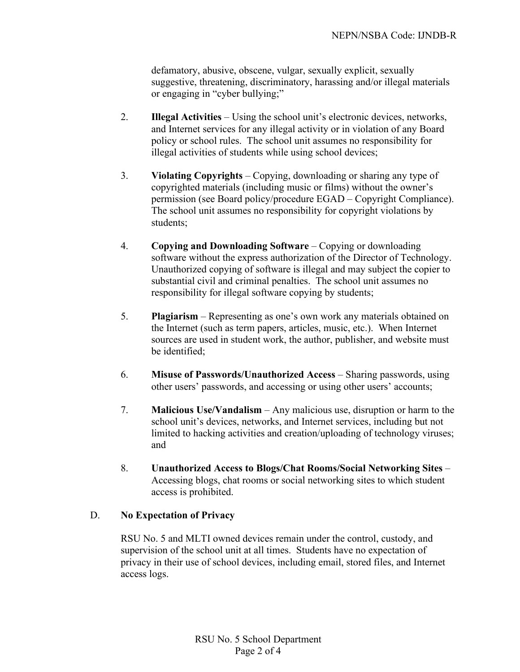defamatory, abusive, obscene, vulgar, sexually explicit, sexually suggestive, threatening, discriminatory, harassing and/or illegal materials or engaging in "cyber bullying;"

- 2. **Illegal Activities** Using the school unit's electronic devices, networks, and Internet services for any illegal activity or in violation of any Board policy or school rules. The school unit assumes no responsibility for illegal activities of students while using school devices;
- 3. **Violating Copyrights** Copying, downloading or sharing any type of copyrighted materials (including music or films) without the owner's permission (see Board policy/procedure EGAD – Copyright Compliance). The school unit assumes no responsibility for copyright violations by students;
- 4. **Copying and Downloading Software** Copying or downloading software without the express authorization of the Director of Technology. Unauthorized copying of software is illegal and may subject the copier to substantial civil and criminal penalties. The school unit assumes no responsibility for illegal software copying by students;
- 5. **Plagiarism** Representing as one's own work any materials obtained on the Internet (such as term papers, articles, music, etc.). When Internet sources are used in student work, the author, publisher, and website must be identified;
- 6. **Misuse of Passwords/Unauthorized Access** Sharing passwords, using other users' passwords, and accessing or using other users' accounts;
- 7. **Malicious Use/Vandalism** Any malicious use, disruption or harm to the school unit's devices, networks, and Internet services, including but not limited to hacking activities and creation/uploading of technology viruses; and
- 8. **Unauthorized Access to Blogs/Chat Rooms/Social Networking Sites**  Accessing blogs, chat rooms or social networking sites to which student access is prohibited.

# D. **No Expectation of Privacy**

RSU No. 5 and MLTI owned devices remain under the control, custody, and supervision of the school unit at all times. Students have no expectation of privacy in their use of school devices, including email, stored files, and Internet access logs.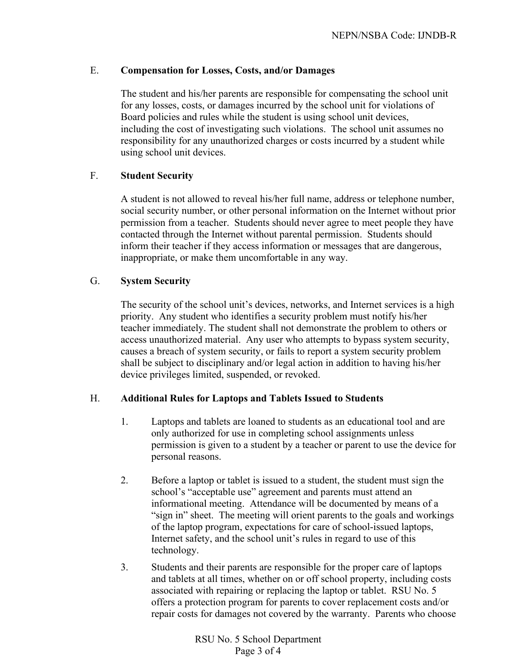### E. **Compensation for Losses, Costs, and/or Damages**

The student and his/her parents are responsible for compensating the school unit for any losses, costs, or damages incurred by the school unit for violations of Board policies and rules while the student is using school unit devices, including the cost of investigating such violations. The school unit assumes no responsibility for any unauthorized charges or costs incurred by a student while using school unit devices.

### F. **Student Security**

A student is not allowed to reveal his/her full name, address or telephone number, social security number, or other personal information on the Internet without prior permission from a teacher. Students should never agree to meet people they have contacted through the Internet without parental permission. Students should inform their teacher if they access information or messages that are dangerous, inappropriate, or make them uncomfortable in any way.

### G. **System Security**

The security of the school unit's devices, networks, and Internet services is a high priority. Any student who identifies a security problem must notify his/her teacher immediately. The student shall not demonstrate the problem to others or access unauthorized material. Any user who attempts to bypass system security, causes a breach of system security, or fails to report a system security problem shall be subject to disciplinary and/or legal action in addition to having his/her device privileges limited, suspended, or revoked.

# H. **Additional Rules for Laptops and Tablets Issued to Students**

- 1. Laptops and tablets are loaned to students as an educational tool and are only authorized for use in completing school assignments unless permission is given to a student by a teacher or parent to use the device for personal reasons.
- 2. Before a laptop or tablet is issued to a student, the student must sign the school's "acceptable use" agreement and parents must attend an informational meeting. Attendance will be documented by means of a "sign in" sheet. The meeting will orient parents to the goals and workings of the laptop program, expectations for care of school-issued laptops, Internet safety, and the school unit's rules in regard to use of this technology.
- 3. Students and their parents are responsible for the proper care of laptops and tablets at all times, whether on or off school property, including costs associated with repairing or replacing the laptop or tablet. RSU No. 5 offers a protection program for parents to cover replacement costs and/or repair costs for damages not covered by the warranty. Parents who choose